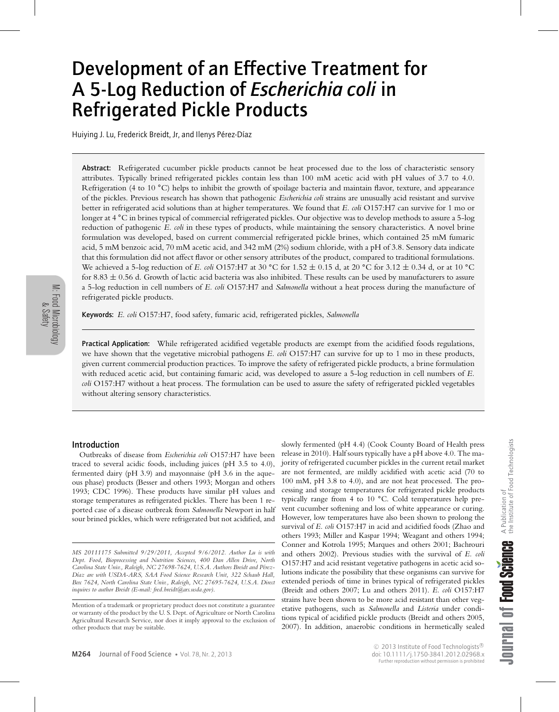# Development of an Effective Treatment for A 5-Log Reduction of *Escherichia coli* in Refrigerated Pickle Products

Huiying J. Lu, Frederick Breidt, Jr, and Ilenys Pérez-Díaz

Abstract: Refrigerated cucumber pickle products cannot be heat processed due to the loss of characteristic sensory attributes. Typically brined refrigerated pickles contain less than 100 mM acetic acid with pH values of 3.7 to 4.0. Refrigeration (4 to 10 **◦**C) helps to inhibit the growth of spoilage bacteria and maintain flavor, texture, and appearance of the pickles. Previous research has shown that pathogenic *Escherichia coli* strains are unusually acid resistant and survive better in refrigerated acid solutions than at higher temperatures. We found that *E. coli* O157:H7 can survive for 1 mo or longer at 4 **◦**C in brines typical of commercial refrigerated pickles. Our objective was to develop methods to assure a 5-log reduction of pathogenic *E. coli* in these types of products, while maintaining the sensory characteristics. A novel brine formulation was developed, based on current commercial refrigerated pickle brines, which contained 25 mM fumaric acid, 5 mM benzoic acid, 70 mM acetic acid, and 342 mM (2%) sodium chloride, with a pH of 3.8. Sensory data indicate that this formulation did not affect flavor or other sensory attributes of the product, compared to traditional formulations. We achieved a 5-log reduction of *E. coli* O157:H7 at 30 **◦**C for 1.52 ± 0.15 d, at 20 **◦**C for 3.12 ± 0.34 d, or at 10 **◦**C for 8.83  $\pm$  0.56 d. Growth of lactic acid bacteria was also inhibited. These results can be used by manufacturers to assure a 5-log reduction in cell numbers of *E. coli* O157:H7 and *Salmonella* without a heat process during the manufacture of refrigerated pickle products.

Keywords: *E. coli* O157:H7, food safety, fumaric acid, refrigerated pickles, *Salmonella*

Practical Application: While refrigerated acidified vegetable products are exempt from the acidified foods regulations, we have shown that the vegetative microbial pathogens *E. coli* O157:H7 can survive for up to 1 mo in these products, given current commercial production practices. To improve the safety of refrigerated pickle products, a brine formulation with reduced acetic acid, but containing fumaric acid, was developed to assure a 5-log reduction in cell numbers of *E. coli* O157:H7 without a heat process. The formulation can be used to assure the safety of refrigerated pickled vegetables without altering sensory characteristics.

# Introduction

Outbreaks of disease from *Escherichia coli* O157:H7 have been traced to several acidic foods, including juices (pH 3.5 to 4.0), fermented dairy (pH 3.9) and mayonnaise (pH 3.6 in the aqueous phase) products (Besser and others 1993; Morgan and others 1993; CDC 1996). These products have similar pH values and storage temperatures as refrigerated pickles. There has been 1 reported case of a disease outbreak from *Salmonella* Newport in half sour brined pickles, which were refrigerated but not acidified, and

slowly fermented (pH 4.4) (Cook County Board of Health press release in 2010). Half sours typically have a pH above 4.0. The majority of refrigerated cucumber pickles in the current retail market are not fermented, are mildly acidified with acetic acid (70 to 100 mM, pH 3.8 to 4.0), and are not heat processed. The processing and storage temperatures for refrigerated pickle products typically range from 4 to 10 **◦**C. Cold temperatures help prevent cucumber softening and loss of white appearance or curing. However, low temperatures have also been shown to prolong the survival of *E. coli* O157:H7 in acid and acidified foods (Zhao and others 1993; Miller and Kaspar 1994; Weagant and others 1994; Conner and Kotrola 1995; Marques and others 2001; Bachrouri and others 2002). Previous studies with the survival of *E. coli* O157:H7 and acid resistant vegetative pathogens in acetic acid solutions indicate the possibility that these organisms can survive for extended periods of time in brines typical of refrigerated pickles (Breidt and others 2007; Lu and others 2011). *E. coli* O157:H7 strains have been shown to be more acid resistant than other vegetative pathogens, such as *Salmonella* and *Listeria* under conditions typical of acidified pickle products (Breidt and others 2005, 2007). In addition, anaerobic conditions in hermetically sealed

*MS 20111175 Submitted 9/29/2011, Accepted 9/6/2012. Author Lu is with Dept. Food, Bioprocessing and Nutrition Sciences, 400 Dan Allen Drive, North Carolina State Univ., Raleigh, NC 27698-7624, U.S.A. Authors Breidt and Perez- ´ D´ıaz are with USDA-ARS, SAA Food Science Research Unit, 322 Schaub Hall, Box 7624, North Carolina State Univ., Raleigh, NC 27695-7624, U.S.A. Direct inquires to author Breidt (E-mail: fred.breidt@ars.usda.gov)*.

Mention of a trademark or proprietary product does not constitute a guarantee or warranty of the product by the U. S. Dept. of Agriculture or North Carolina Agricultural Research Service, nor does it imply approval to the exclusion of other products that may be suitable.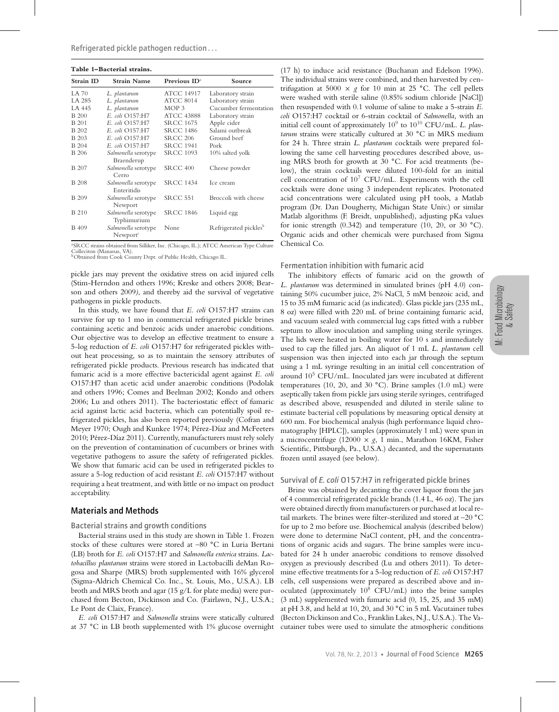| Table 1-Bacterial strains. |                                             |                   |                                   |
|----------------------------|---------------------------------------------|-------------------|-----------------------------------|
| <b>Strain ID</b>           | <b>Strain Name</b>                          | Previous $ID^2$   | Source                            |
| <b>LA 70</b>               | L. plantarum                                | <b>ATCC 14917</b> | Laboratory strain                 |
| LA 285                     | L. plantarum                                | <b>ATCC 8014</b>  | Laboratory strain                 |
| LA 445                     | L. plantarum                                | MOP <sub>3</sub>  | Cucumber fermentation             |
| <b>B</b> 200               | E. coli O157:H7                             | <b>ATCC 43888</b> | Laboratory strain                 |
| <b>B</b> 201               | E. coli O157:H7                             | <b>SRCC 1675</b>  | Apple cider                       |
| <b>B</b> 202               | E. coli O157:H7                             | <b>SRCC 1486</b>  | Salami outbreak                   |
| <b>B</b> 203               | E. coli O157:H7                             | <b>SRCC 206</b>   | Ground beef                       |
| <b>B</b> 204               | E. coli O157:H7                             | <b>SRCC 1941</b>  | Pork                              |
| <b>B</b> 206               | Salmonella serotype<br>Braenderup           | <b>SRCC 1093</b>  | 10% salted yolk                   |
| <b>B</b> 207               | Salmonella serotype<br>Cerro                | <b>SRCC 400</b>   | Cheese powder                     |
| <b>B</b> 208               | Salmonella serotype<br>Enteritidis          | <b>SRCC 1434</b>  | Ice cream                         |
| <b>B</b> 209               | Salmonella serotype<br>Newport              | <b>SRCC 551</b>   | Broccoli with cheese              |
| <b>B</b> 210               | Salmonella serotype<br>Typhimurium          | <b>SRCC 1846</b>  | Liquid egg                        |
| B 409                      | Salmonella serotype<br>Newport <sup>c</sup> | None              | Refrigerated pickles <sup>b</sup> |

a SRCC strains obtained from Silliker, Inc. (Chicago, IL.); ATCC American Type Culture Colleciton (Manassas, VA). bObtained from Cook County Dept. of Public Health, Chicago IL.

pickle jars may prevent the oxidative stress on acid injured cells (Stim-Herndon and others 1996; Kreske and others 2008; Bearson and others 2009*)*, and thereby aid the survival of vegetative

pathogens in pickle products. In this study, we have found that *E. coli* O157:H7 strains can survive for up to 1 mo in commercial refrigerated pickle brines containing acetic and benzoic acids under anaerobic conditions. Our objective was to develop an effective treatment to ensure a 5-log reduction of *E. coli* O157:H7 for refrigerated pickles without heat processing, so as to maintain the sensory attributes of refrigerated pickle products. Previous research has indicated that fumaric acid is a more effective bactericidal agent against *E. coli* O157:H7 than acetic acid under anaerobic conditions (Podolak and others 1996; Comes and Beelman 2002; Kondo and others 2006; Lu and others 2011). The bacteriostatic effect of fumaric acid against lactic acid bacteria, which can potentially spoil refrigerated pickles, has also been reported previously (Cofran and Meyer 1970; Ough and Kunkee 1974; Pérez-Díaz and McFeeters 2010; Pérez-Díaz 2011). Currently, manufacturers must rely solely on the prevention of contamination of cucumbers or brines with vegetative pathogens to assure the safety of refrigerated pickles. We show that fumaric acid can be used in refrigerated pickles to assure a 5-log reduction of acid resistant *E. coli* O157:H7 without requiring a heat treatment, and with little or no impact on product acceptability.

# Materials and Methods

### Bacterial strains and growth conditions

Bacterial strains used in this study are shown in Table 1. Frozen stocks of these cultures were stored at –80 **◦**C in Luria Bertani (LB) broth for *E. coli* O157:H7 and *Salmonella enterica* strains. *Lactobacillus plantarum* strains were stored in Lactobacilli deMan Rogosa and Sharpe (MRS) broth supplemented with 16% glycerol (Sigma-Aldrich Chemical Co. Inc., St. Louis, Mo., U.S.A.). LB broth and MRS broth and agar (15 g/L for plate media) were purchased from Becton, Dickinson and Co. (Fairlawn, N.J., U.S.A.; Le Pont de Claix, France).

*E. coli* O157:H7 and *Salmonella* strains were statically cultured at 37 **◦**C in LB broth supplemented with 1% glucose overnight

(17 h) to induce acid resistance (Buchanan and Edelson 1996). The individual strains were combined, and then harvested by centrifugation at 5000  $\times$  g for 10 min at 25 °C. The cell pellets were washed with sterile saline (0.85% sodium chloride [NaCl]) then resuspended with 0.1 volume of saline to make a 5-strain *E. coli* O157:H7 cocktail or 6-strain cocktail of *Salmonella,* with an initial cell count of approximately 10<sup>9</sup> to 10<sup>10</sup> CFU/mL. *L. plantarum* strains were statically cultured at 30 **◦**C in MRS medium for 24 h. Three strain *L. plantarum* cocktails were prepared following the same cell harvesting procedures described above, using MRS broth for growth at 30 **◦**C. For acid treatments (below), the strain cocktails were diluted 100-fold for an initial cell concentration of  $10^7$  CFU/mL. Experiments with the cell cocktails were done using 3 independent replicates. Protonated acid concentrations were calculated using pH tools, a Matlab program (Dr. Dan Dougherty, Michigan State Univ.) or similar Matlab algorithms (F. Breidt, unpublished), adjusting pKa values for ionic strength (0.342) and temperature (10, 20, or 30 **◦**C). Organic acids and other chemicals were purchased from Sigma Chemical Co.

## Fermentation inhibition with fumaric acid

The inhibitory effects of fumaric acid on the growth of *L. plantarum* was determined in simulated brines (pH 4.0) containing 50% cucumber juice, 2% NaCl, 5 mM benzoic acid, and 15 to 35 mM fumaric acid (as indicated). Glass pickle jars (235 mL, 8 oz) were filled with 220 mL of brine containing fumaric acid, and vacuum sealed with commercial lug caps fitted with a rubber septum to allow inoculation and sampling using sterile syringes. The lids were heated in boiling water for 10 s and immediately used to cap the filled jars. An aliquot of 1 mL *L. plantarum* cell suspension was then injected into each jar through the septum using a 1 mL syringe resulting in an initial cell concentration of around 10<sup>5</sup> CFU/mL. Inoculated jars were incubated at different temperatures (10, 20, and 30 **◦**C). Brine samples (1.0 mL) were aseptically taken from pickle jars using sterile syringes, centrifuged as described above, resuspended and diluted in sterile saline to estimate bacterial cell populations by measuring optical density at 600 nm. For biochemical analysis (high performance liquid chromatography [HPLC]), samples (approximately 1 mL) were spun in a microcentrifuge (12000 × *g*, 1 min., Marathon 16KM, Fisher Scientific, Pittsburgh, Pa., U.S.A.) decanted, and the supernatants frozen until assayed (see below).

# Survival of *E. coli* O157:H7 in refrigerated pickle brines

Brine was obtained by decanting the cover liquor from the jars of 4 commercial refrigerated pickle brands (1.4 L, 46 oz). The jars were obtained directly from manufacturers or purchased at local retail markets. The brines were filter-sterilized and stored at –20 **◦**C for up to 2 mo before use. Biochemical analysis (described below) were done to determine NaCl content, pH, and the concentrations of organic acids and sugars. The brine samples were incubated for 24 h under anaerobic conditions to remove dissolved oxygen as previously described (Lu and others 2011). To determine effective treatments for a 5-log reduction of *E. coli* O157:H7 cells, cell suspensions were prepared as described above and inoculated (approximately  $10^8$  CFU/mL) into the brine samples (3 mL) supplemented with fumaric acid (0, 15, 25, and 35 mM) at pH 3.8, and held at 10, 20, and 30 **◦**C in 5 mL Vacutainer tubes (Becton Dickinson and Co., Franklin Lakes, N.J., U.S.A.). The Vacutainer tubes were used to simulate the atmospheric conditions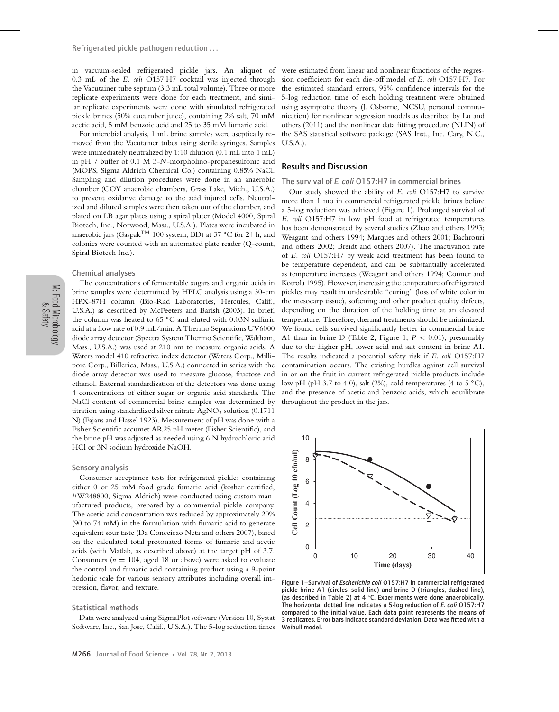in vacuum-sealed refrigerated pickle jars. An aliquot of 0.3 mL of the *E. coli* O157:H7 cocktail was injected through the Vacutainer tube septum (3.3 mL total volume). Three or more replicate experiments were done for each treatment, and similar replicate experiments were done with simulated refrigerated pickle brines (50% cucumber juice), containing 2% salt, 70 mM acetic acid, 5 mM benzoic acid and 25 to 35 mM fumaric acid.

For microbial analysis, 1 mL brine samples were aseptically removed from the Vacutainer tubes using sterile syringes. Samples were immediately neutralized by 1:10 dilution (0.1 mL into 1 mL) in pH 7 buffer of 0.1 M 3-*N*-morpholino-propanesulfonic acid (MOPS, Sigma Aldrich Chemical Co.) containing 0.85% NaCl. Sampling and dilution procedures were done in an anaerobic chamber (COY anaerobic chambers, Grass Lake, Mich., U.S.A.) to prevent oxidative damage to the acid injured cells. Neutralized and diluted samples were then taken out of the chamber, and plated on LB agar plates using a spiral plater (Model 4000, Spiral Biotech, Inc., Norwood, Mass., U.S.A.). Plates were incubated in anaerobic jars (GaspakTM 100 system, BD) at 37 **◦**C for 24 h, and colonies were counted with an automated plate reader (Q-count, Spiral Biotech Inc.).

#### Chemical analyses

The concentrations of fermentable sugars and organic acids in brine samples were determined by HPLC analysis using a 30-cm HPX-87H column (Bio-Rad Laboratories, Hercules, Calif., U.S.A.) as described by McFeeters and Barish (2003). In brief, the column was heated to 65 **◦**C and eluted with 0.03N sulfuric acid at a flow rate of 0.9 mL/min. A Thermo Separations UV6000 diode array detector (Spectra System Thermo Scientific, Waltham, Mass., U.S.A.) was used at 210 nm to measure organic acids. A Waters model 410 refractive index detector (Waters Corp., Millipore Corp., Billerica, Mass., U.S.A.) connected in series with the diode array detector was used to measure glucose, fructose and ethanol. External standardization of the detectors was done using 4 concentrations of either sugar or organic acid standards. The NaCl content of commercial brine samples was determined by titration using standardized silver nitrate AgNO<sub>3</sub> solution (0.1711 N) (Fajans and Hassel 1923). Measurement of pH was done with a Fisher Scientific accumet AR25 pH meter (Fisher Scientific), and the brine pH was adjusted as needed using 6 N hydrochloric acid HCl or 3N sodium hydroxide NaOH.

#### Sensory analysis

Consumer acceptance tests for refrigerated pickles containing either 0 or 25 mM food grade fumaric acid (kosher certified, #W248800, Sigma-Aldrich) were conducted using custom manufactured products, prepared by a commercial pickle company. The acetic acid concentration was reduced by approximately 20% (90 to 74 mM) in the formulation with fumaric acid to generate equivalent sour taste (Da Conceicao Neta and others 2007), based on the calculated total protonated forms of fumaric and acetic acids (with Matlab, as described above) at the target pH of 3.7. Consumers ( $n = 104$ , aged 18 or above) were asked to evaluate the control and fumaric acid containing product using a 9-point hedonic scale for various sensory attributes including overall impression, flavor, and texture.

## Statistical methods

Data were analyzed using SigmaPlot software (Version 10, Systat Software, Inc., San Jose, Calif., U.S.A.). The 5-log reduction times

were estimated from linear and nonlinear functions of the regression coefficients for each die-off model of *E. coli* O157:H7. For the estimated standard errors, 95% confidence intervals for the 5-log reduction time of each holding treatment were obtained using asymptotic theory (J. Osborne, NCSU, personal communication) for nonlinear regression models as described by Lu and others (2011) and the nonlinear data fitting procedure (NLIN) of the SAS statistical software package (SAS Inst., Inc. Cary, N.C., U.S.A.).

# Results and Discussion

The survival of *E. coli* O157:H7 in commercial brines

Our study showed the ability of *E. coli* O157:H7 to survive more than 1 mo in commercial refrigerated pickle brines before a 5-log reduction was achieved (Figure 1). Prolonged survival of *E. coli* O157:H7 in low pH food at refrigerated temperatures has been demonstrated by several studies (Zhao and others 1993; Weagant and others 1994; Marques and others 2001; Bachrouri and others 2002; Breidt and others 2007). The inactivation rate of *E. coli* O157:H7 by weak acid treatment has been found to be temperature dependent, and can be substantially accelerated as temperature increases (Weagant and others 1994; Conner and Kotrola 1995). However, increasing the temperature of refrigerated pickles may result in undesirable "curing" (loss of white color in the mesocarp tissue), softening and other product quality defects, depending on the duration of the holding time at an elevated temperature. Therefore, thermal treatments should be minimized. We found cells survived significantly better in commercial brine A1 than in brine D (Table 2, Figure 1,  $P < 0.01$ ), presumably due to the higher pH, lower acid and salt content in brine A1. The results indicated a potential safety risk if *E. coli* O157:H7 contamination occurs. The existing hurdles against cell survival in or on the fruit in current refrigerated pickle products include low pH (pH 3.7 to 4.0), salt (2%), cold temperatures (4 to 5 **◦**C), and the presence of acetic and benzoic acids, which equilibrate throughout the product in the jars.



Figure 1–Survival of *Escherichia coli* O157:H7 in commercial refrigerated pickle brine A1 (circles, solid line) and brine D (triangles, dashed line), (as described in Table 2) at 4 **◦** C. Experiments were done anaerobically. The horizontal dotted line indicates a 5-log reduction of *E. coli* O157:H7 compared to the initial value. Each data point represents the means of 3 replicates. Error bars indicate standard deviation. Data was fitted with a Weibull model.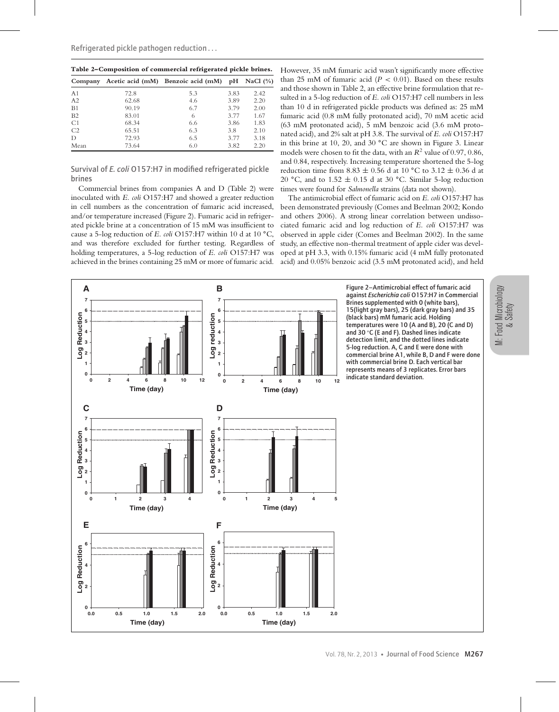| Table 2-Composition of commercial refrigerated pickle brines. |       |                                    |      |              |
|---------------------------------------------------------------|-------|------------------------------------|------|--------------|
| Company                                                       |       | Acetic acid (mM) Benzoic acid (mM) | pH   | NaCl $(\% )$ |
| A <sub>1</sub>                                                | 72.8  | 5.3                                | 3.83 | 2.42         |
| A <sub>2</sub>                                                | 62.68 | 4.6                                | 3.89 | 2.20         |
| B1                                                            | 90.19 | 6.7                                | 3.79 | 2.00         |
| B2                                                            | 83.01 | 6                                  | 3.77 | 1.67         |
| C1                                                            | 68.34 | 6.6                                | 3.86 | 1.83         |
| C <sub>2</sub>                                                | 65.51 | 6.3                                | 3.8  | 2.10         |
| D                                                             | 72.93 | 6.5                                | 3.77 | 3.18         |
| Mean                                                          | 73.64 | 6.0                                | 3.82 | 2.20         |

**Table 2–Composition of commercial refrigerated pickle brines.**

Survival of *E. coli* O157:H7 in modified refrigerated pickle brines

Commercial brines from companies A and D (Table 2) were inoculated with *E. coli* O157:H7 and showed a greater reduction in cell numbers as the concentration of fumaric acid increased, and/or temperature increased (Figure 2). Fumaric acid in refrigerated pickle brine at a concentration of 15 mM was insufficient to cause a 5-log reduction of *E. coli* O157:H7 within 10 d at 10 **◦**C, and was therefore excluded for further testing. Regardless of holding temperatures, a 5-log reduction of *E. coli* O157:H7 was achieved in the brines containing 25 mM or more of fumaric acid.

However, 35 mM fumaric acid wasn't significantly more effective than 25 mM of fumaric acid  $(P < 0.01)$ . Based on these results and those shown in Table 2, an effective brine formulation that resulted in a 5-log reduction of *E. coli* O157:H7 cell numbers in less than 10 d in refrigerated pickle products was defined as: 25 mM fumaric acid (0.8 mM fully protonated acid), 70 mM acetic acid (63 mM protonated acid), 5 mM benzoic acid (3.6 mM protonated acid), and 2% salt at pH 3.8. The survival of *E. coli* O157:H7 in this brine at 10, 20, and 30 **◦**C are shown in Figure 3. Linear models were chosen to fit the data, with an  $R^2$  value of 0.97, 0.86, and 0.84, respectively. Increasing temperature shortened the 5-log reduction time from 8.83 ± 0.56 d at 10 **◦**C to 3.12 ± 0.36 d at 20 **◦**C, and to 1.52 ± 0.15 d at 30 **◦**C. Similar 5-log reduction times were found for *Salmonella* strains (data not shown).

The antimicrobial effect of fumaric acid on *E. coli* O157:H7 has been demonstrated previously (Comes and Beelman 2002; Kondo and others 2006). A strong linear correlation between undissociated fumaric acid and log reduction of *E. coli* O157:H7 was observed in apple cider (Comes and Beelman 2002). In the same study, an effective non-thermal treatment of apple cider was developed at pH 3.3, with 0.15% fumaric acid (4 mM fully protonated acid) and 0.05% benzoic acid (3.5 mM protonated acid), and held

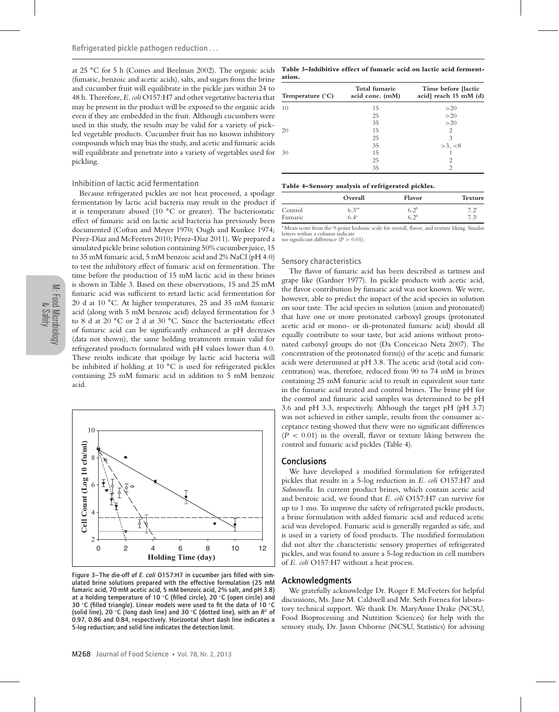at 25 **◦**C for 5 h (Comes and Beelman 2002). The organic acids (fumaric, benzoic and acetic acids), salts, and sugars from the brine and cucumber fruit will equilibrate in the pickle jars within 24 to 48 h. Therefore, *E. coli* O157:H7 and other vegetative bacteria that may be present in the product will be exposed to the organic acids even if they are embedded in the fruit. Although cucumbers were used in this study, the results may be valid for a variety of pickled vegetable products. Cucumber fruit has no known inhibitory compounds which may bias the study, and acetic and fumaric acids will equilibrate and penetrate into a variety of vegetables used for pickling.

### Inhibition of lactic acid fermentation

Because refrigerated pickles are not heat processed, a spoilage fermentation by lactic acid bacteria may result in the product if it is temperature abused (10 **◦**C or greater). The bacteriostatic effect of fumaric acid on lactic acid bacteria has previously been documented (Cofran and Meyer 1970; Ough and Kunkee 1974; Pérez-Díaz and McFeeters 2010; Pérez-Díaz 2011). We prepared a simulated pickle brine solution containing 50% cucumber juice, 15 to 35 mM fumaric acid, 5 mM benzoic acid and 2% NaCl (pH 4.0) to test the inhibitory effect of fumaric acid on fermentation. The time before the production of 15 mM lactic acid in these brines is shown in Table 3. Based on these observations, 15 and 25 mM fumaric acid was sufficient to retard lactic acid fermentation for 20 d at 10 **◦**C. At higher temperatures, 25 and 35 mM fumaric acid (along with 5 mM benzoic acid) delayed fermentation for 3 to 8 d at 20 **◦**C or 2 d at 30 **◦**C. Since the bacteriostatic effect of fumaric acid can be significantly enhanced as pH decreases (data not shown), the same holding treatments remain valid for refrigerated products formulated with pH values lower than 4.0. These results indicate that spoilage by lactic acid bacteria will be inhibited if holding at 10 **◦**C is used for refrigerated pickles containing 25 mM fumaric acid in addition to 5 mM benzoic acid.



Figure 3–The die-off of *E. coli* O157:H7 in cucumber jars filled with simulated brine solutions prepared with the effective formulation (25 mM fumaric acid, 70 mM acetic acid, 5 mM benzoic acid, 2% salt, and pH 3.8) at a holding temperature of 10 **◦**C (filled circle), 20 **◦**C (open circle) and 30 **◦** C (filled triangle). Linear models were used to fit the data of 10 **◦** C (solid line), 20 **◦** C (long dash line) and 30 **◦** C (dotted line), with an *R*<sup>2</sup> of 0.97, 0.86 and 0.84, respectively. Horizontal short dash line indicates a 5-log reduction; and solid line indicates the detection limit.

**Table 3–Inhibitive effect of fumaric acid on lactic acid fermentation.**

| Temperature $(^{\circ}C)$ | Total fumaric<br>acid conc. (mM) | Time before [lactic]<br>acid] reach $15 \text{ mM}$ (d) |
|---------------------------|----------------------------------|---------------------------------------------------------|
| 10                        | 15                               | >20                                                     |
|                           | 25                               | >20                                                     |
|                           | 35                               | >20                                                     |
| 20                        | 15                               | 2                                                       |
|                           | 25                               | 3                                                       |
|                           | 35                               | >3, <8                                                  |
| 30                        | 15                               |                                                         |
|                           | 25                               | 2                                                       |
|                           | 35                               | $\mathfrak{D}$                                          |

| Table 4-Sensory analysis of refrigerated pickles. |  |  |  |  |
|---------------------------------------------------|--|--|--|--|
|---------------------------------------------------|--|--|--|--|

|         | Overall       | Flavor        | <b>Texture</b>   |
|---------|---------------|---------------|------------------|
| Control | $6.3^{**}$    | $6.2^b$       | $7.2^{\circ}$    |
| Fumaric | $6.4^{\circ}$ | $5.2^{\rm b}$ | 7.3 <sup>c</sup> |

∗Mean score from the 9-point hedonic scale for overall, flavor, and texture liking. Similar letters within a column indicate

no significant difference (*P >* 0.01).

#### Sensory characteristics

The flavor of fumaric acid has been described as tartness and grape like (Gardner 1977). In pickle products with acetic acid, the flavor contribution by fumaric acid was not known. We were, however, able to predict the impact of the acid species in solution on sour taste. The acid species in solution (anion and protonated) that have one or more protonated carboxyl groups (protonated acetic acid or mono- or di-protonated fumaric acid) should all equally contribute to sour taste, but acid anions without protonated carboxyl groups do not (Da Conceicao Neta 2007). The concentration of the protonated form(s) of the acetic and fumaric acids were determined at pH 3.8. The acetic acid (total acid concentration) was, therefore, reduced from 90 to 74 mM in brines containing 25 mM fumaric acid to result in equivalent sour taste in the fumaric acid treated and control brines. The brine pH for the control and fumaric acid samples was determined to be pH 3.6 and pH 3.3, respectively. Although the target pH (pH 3.7) was not achieved in either sample, results from the consumer acceptance testing showed that there were no significant differences  $(P < 0.01)$  in the overall, flavor or texture liking between the control and fumaric acid pickles (Table 4).

### **Conclusions**

We have developed a modified formulation for refrigerated pickles that results in a 5-log reduction in *E. coli* O157:H7 and *Salmonella.* In current product brines, which contain acetic acid and benzoic acid, we found that *E. coli* O157:H7 can survive for up to 1 mo. To improve the safety of refrigerated pickle products, a brine formulation with added fumaric acid and reduced acetic acid was developed. Fumaric acid is generally regarded as safe, and is used in a variety of food products. The modified formulation did not alter the characteristic sensory properties of refrigerated pickles, and was found to assure a 5-log reduction in cell numbers of *E. coli* O157:H7 without a heat process.

# Acknowledgments

We gratefully acknowledge Dr. Roger F. McFeeters for helpful discussions, Ms. Jane M. Caldwell and Mr. Seth Fornea for laboratory technical support. We thank Dr. MaryAnne Drake (NCSU, Food Bioprocessing and Nutrition Sciences) for help with the sensory study, Dr. Jason Osborne (NCSU, Statistics) for advising